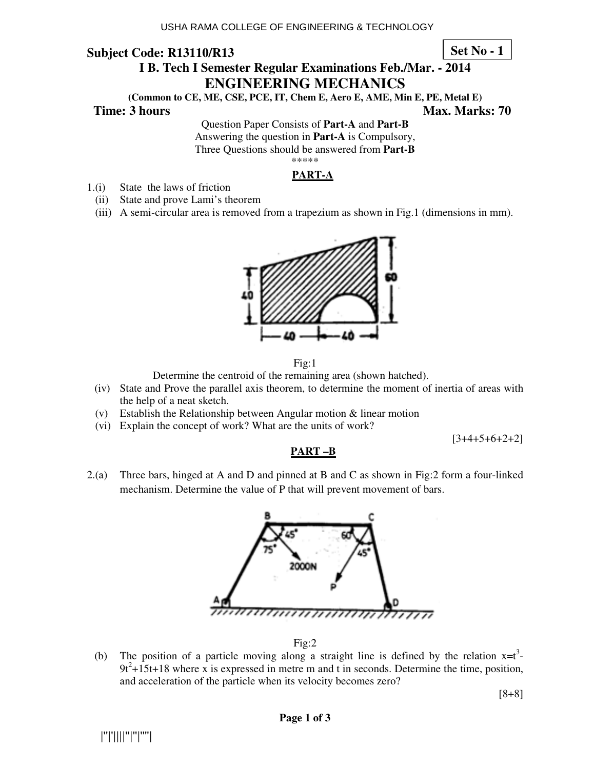**Set No - 1**

# **I B. Tech I Semester Regular Examinations Feb./Mar. - 2014 ENGINEERING MECHANICS**

**(Common to CE, ME, CSE, PCE, IT, Chem E, Aero E, AME, Min E, PE, Metal E)** 

**Time: 3 hours Max. Marks: 70 Max. Marks: 70** 

Question Paper Consists of **Part-A** and **Part-B** Answering the question in **Part-A** is Compulsory, Three Questions should be answered from **Part-B** \*\*\*\*\*

### **PART-A**

- 1.(i) State the laws of friction
	- (ii) State and prove Lami's theorem
	- (iii) A semi-circular area is removed from a trapezium as shown in Fig.1 (dimensions in mm).





Determine the centroid of the remaining area (shown hatched).

(iv) State and Prove the parallel axis theorem, to determine the moment of inertia of areas with the help of a neat sketch.

**PART –B**

- (v) Establish the Relationship between Angular motion & linear motion
- (vi) Explain the concept of work? What are the units of work?

 $[3+4+5+6+2+2]$ 

# 2.(a) Three bars, hinged at A and D and pinned at B and C as shown in Fig:2 form a four-linked mechanism. Determine the value of P that will prevent movement of bars.



Fig:2

(b) The position of a particle moving along a straight line is defined by the relation  $x=t^3$ - $9t^2 + 15t + 18$  where x is expressed in metre m and t in seconds. Determine the time, position, and acceleration of the particle when its velocity becomes zero?

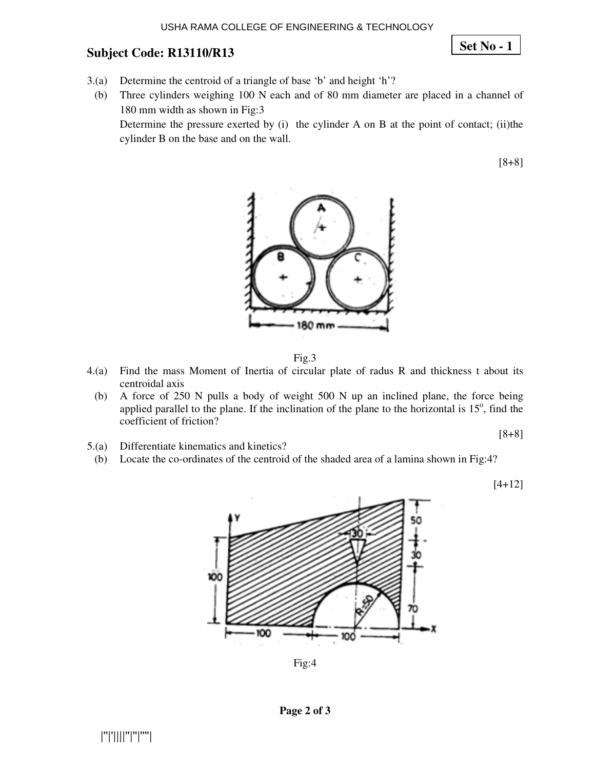**Set No - 1**

- 3.(a) Determine the centroid of a triangle of base 'b' and height 'h'?
	- (b) Three cylinders weighing 100 N each and of 80 mm diameter are placed in a channel of 180 mm width as shown in Fig:3

Determine the pressure exerted by (i) the cylinder A on B at the point of contact; (ii)the cylinder B on the base and on the wall.

[8+8]



Fig.3

- 4.(a) Find the mass Moment of Inertia of circular plate of radus R and thickness t about its centroidal axis
- (b) A force of 250 N pulls a body of weight 500 N up an inclined plane, the force being applied parallel to the plane. If the inclination of the plane to the horizontal is  $15^\circ$ , find the coefficient of friction?
- 5.(a) Differentiate kinematics and kinetics?
- (b) Locate the co-ordinates of the centroid of the shaded area of a lamina shown in Fig:4?

[4+12]



Fig:4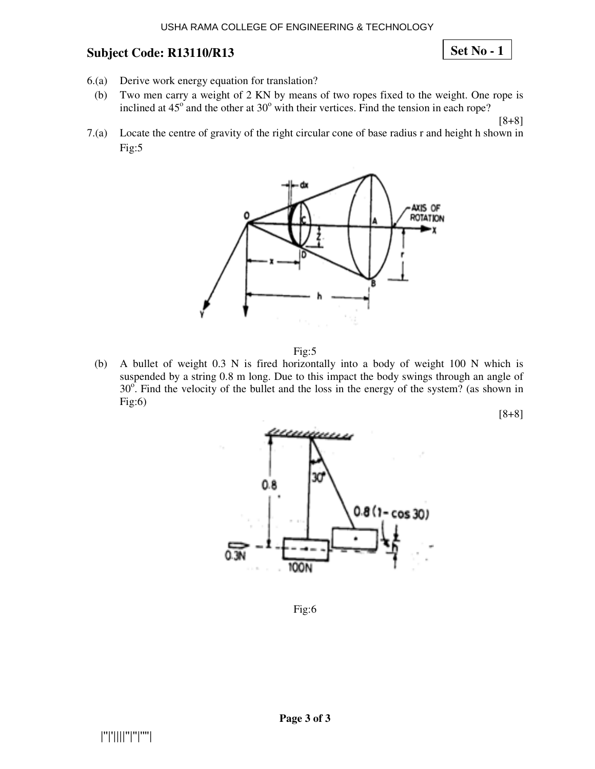**Set No - 1**

- 6.(a) Derive work energy equation for translation?
- (b) Two men carry a weight of 2 KN by means of two ropes fixed to the weight. One rope is inclined at  $45^{\circ}$  and the other at  $30^{\circ}$  with their vertices. Find the tension in each rope?

[8+8]

7.(a) Locate the centre of gravity of the right circular cone of base radius r and height h shown in Fig:5



Fig:5

(b) A bullet of weight 0.3 N is fired horizontally into a body of weight 100 N which is suspended by a string 0.8 m long. Due to this impact the body swings through an angle of  $30^\circ$ . Find the velocity of the bullet and the loss in the energy of the system? (as shown in  $Fig:6)$ 



Fig:6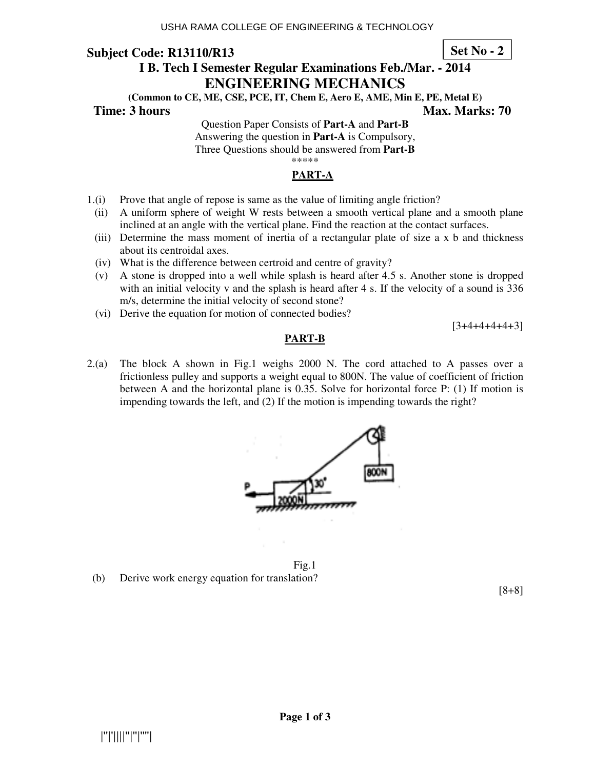**Set No - 2**

# **I B. Tech I Semester Regular Examinations Feb./Mar. - 2014 ENGINEERING MECHANICS**

**(Common to CE, ME, CSE, PCE, IT, Chem E, Aero E, AME, Min E, PE, Metal E)** 

**Time: 3 hours Max. Marks: 70 Max. Marks: 70** 

Question Paper Consists of **Part-A** and **Part-B** Answering the question in **Part-A** is Compulsory, Three Questions should be answered from **Part-B** \*\*\*\*\*

### **PART-A**

- 1.(i) Prove that angle of repose is same as the value of limiting angle friction?
- (ii) A uniform sphere of weight W rests between a smooth vertical plane and a smooth plane inclined at an angle with the vertical plane. Find the reaction at the contact surfaces.
- (iii) Determine the mass moment of inertia of a rectangular plate of size a x b and thickness about its centroidal axes.
- (iv) What is the difference between certroid and centre of gravity?
- (v) A stone is dropped into a well while splash is heard after 4.5 s. Another stone is dropped with an initial velocity v and the splash is heard after 4 s. If the velocity of a sound is 336 m/s, determine the initial velocity of second stone?
- (vi) Derive the equation for motion of connected bodies?

 $[3+4+4+4+4+3]$ 

#### **PART-B**

2.(a) The block A shown in Fig.1 weighs 2000 N. The cord attached to A passes over a frictionless pulley and supports a weight equal to 800N. The value of coefficient of friction between A and the horizontal plane is 0.35. Solve for horizontal force P: (1) If motion is impending towards the left, and (2) If the motion is impending towards the right?



Fig.1 (b) Derive work energy equation for translation?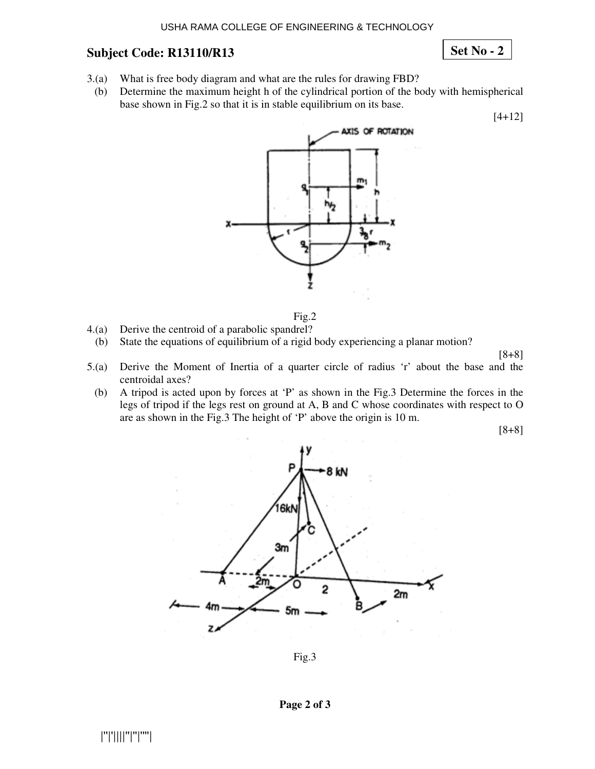**Set No - 2**

- 3.(a) What is free body diagram and what are the rules for drawing FBD?
- (b) Determine the maximum height h of the cylindrical portion of the body with hemispherical base shown in Fig.2 so that it is in stable equilibrium on its base.

[4+12]





- 4.(a) Derive the centroid of a parabolic spandrel?
	- (b) State the equations of equilibrium of a rigid body experiencing a planar motion?

[8+8]

- 5.(a) Derive the Moment of Inertia of a quarter circle of radius 'r' about the base and the centroidal axes?
	- (b) A tripod is acted upon by forces at 'P' as shown in the Fig.3 Determine the forces in the legs of tripod if the legs rest on ground at A, B and C whose coordinates with respect to O are as shown in the Fig.3 The height of 'P' above the origin is 10 m.

[8+8]



Fig.3

#### **Page 2 of 3**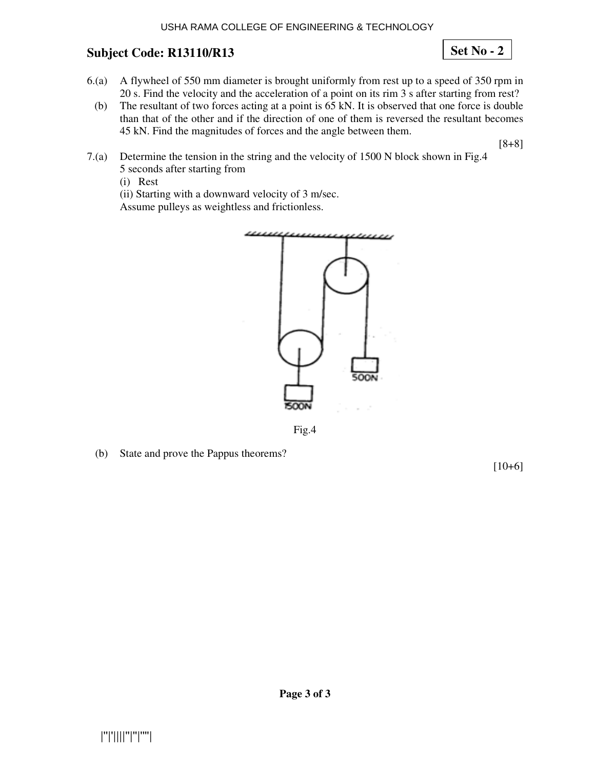**Set No - 2**

- 6.(a) A flywheel of 550 mm diameter is brought uniformly from rest up to a speed of 350 rpm in 20 s. Find the velocity and the acceleration of a point on its rim 3 s after starting from rest?
	- (b) The resultant of two forces acting at a point is 65 kN. It is observed that one force is double than that of the other and if the direction of one of them is reversed the resultant becomes 45 kN. Find the magnitudes of forces and the angle between them.

[8+8]

- 7.(a) Determine the tension in the string and the velocity of 1500 N block shown in Fig.4 5 seconds after starting from
	- (i) Rest

(ii) Starting with a downward velocity of 3 m/sec. Assume pulleys as weightless and frictionless.





(b) State and prove the Pappus theorems?

[10+6]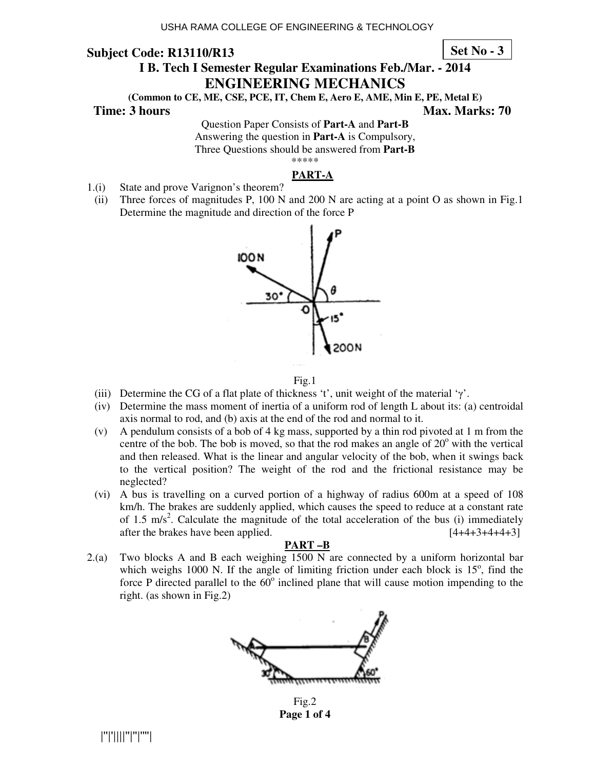**Set No - 3**

# **I B. Tech I Semester Regular Examinations Feb./Mar. - 2014 ENGINEERING MECHANICS**

**(Common to CE, ME, CSE, PCE, IT, Chem E, Aero E, AME, Min E, PE, Metal E)** 

**Time: 3 hours Max. Marks: 70 Max. Marks: 70** 

Question Paper Consists of **Part-A** and **Part-B** Answering the question in **Part-A** is Compulsory, Three Questions should be answered from **Part-B** \*\*\*\*\*

### **PART-A**

- 1.(i) State and prove Varignon's theorem?
- (ii) Three forces of magnitudes P, 100 N and 200 N are acting at a point O as shown in Fig.1 Determine the magnitude and direction of the force P



#### Fig.1

- (iii) Determine the CG of a flat plate of thickness 't', unit weight of the material ' $\gamma'$ .
- (iv) Determine the mass moment of inertia of a uniform rod of length L about its: (a) centroidal axis normal to rod, and (b) axis at the end of the rod and normal to it.
- (v) A pendulum consists of a bob of 4 kg mass, supported by a thin rod pivoted at 1 m from the centre of the bob. The bob is moved, so that the rod makes an angle of  $20^{\circ}$  with the vertical and then released. What is the linear and angular velocity of the bob, when it swings back to the vertical position? The weight of the rod and the frictional resistance may be neglected?
- (vi) A bus is travelling on a curved portion of a highway of radius 600m at a speed of 108 km/h. The brakes are suddenly applied, which causes the speed to reduce at a constant rate of 1.5  $\text{m/s}^2$ . Calculate the magnitude of the total acceleration of the bus (i) immediately after the brakes have been applied. [4+4+3+4+4+3]

### **PART –B**

2.(a) Two blocks A and B each weighing 1500 N are connected by a uniform horizontal bar which weighs 1000 N. If the angle of limiting friction under each block is  $15^{\circ}$ , find the force P directed parallel to the  $60^\circ$  inclined plane that will cause motion impending to the right. (as shown in Fig.2)



Fig.2 **Page 1 of 4** 

|''|'||||''|''|''''|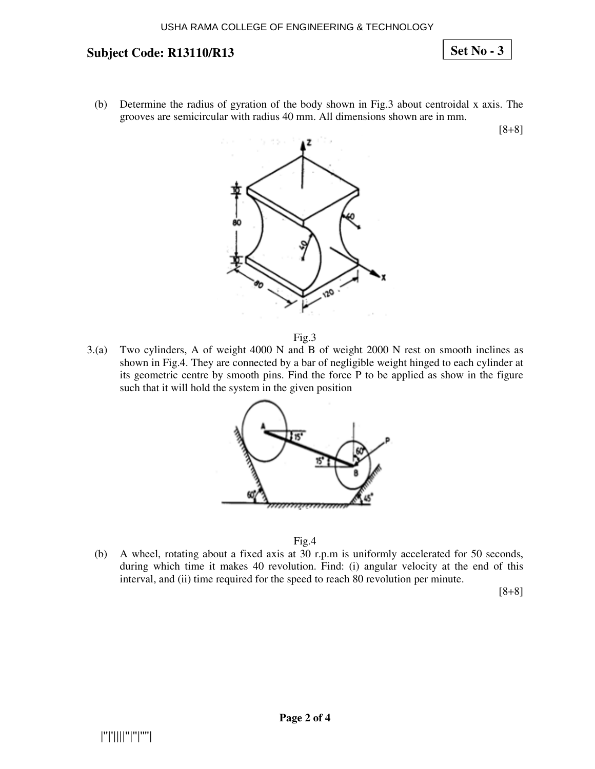**Set No - 3**

(b) Determine the radius of gyration of the body shown in Fig.3 about centroidal x axis. The grooves are semicircular with radius 40 mm. All dimensions shown are in mm.

[8+8]





3.(a) Two cylinders, A of weight 4000 N and B of weight 2000 N rest on smooth inclines as shown in Fig.4. They are connected by a bar of negligible weight hinged to each cylinder at its geometric centre by smooth pins. Find the force P to be applied as show in the figure such that it will hold the system in the given position



Fig.4

(b) A wheel, rotating about a fixed axis at 30 r.p.m is uniformly accelerated for 50 seconds, during which time it makes 40 revolution. Find: (i) angular velocity at the end of this interval, and (ii) time required for the speed to reach 80 revolution per minute.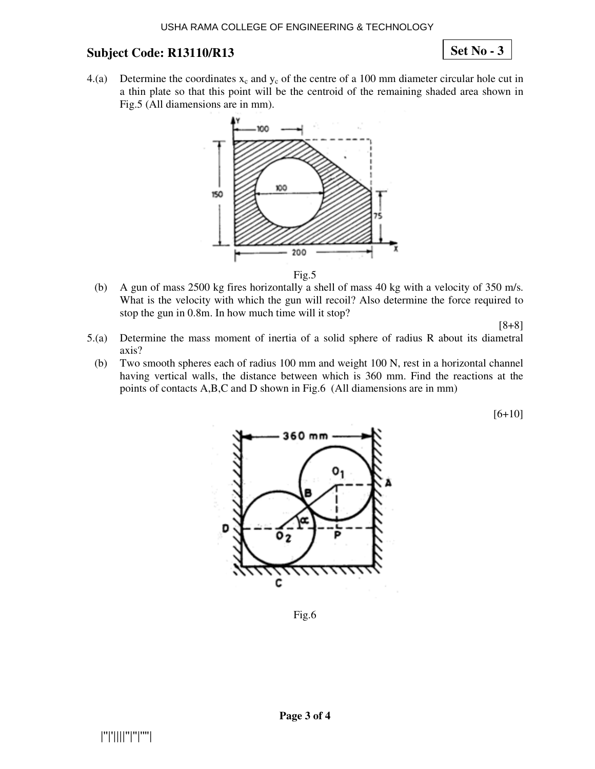# **Set No - 3**

4.(a) Determine the coordinates  $x_c$  and  $y_c$  of the centre of a 100 mm diameter circular hole cut in a thin plate so that this point will be the centroid of the remaining shaded area shown in Fig.5 (All diamensions are in mm).



Fig.5

(b) A gun of mass 2500 kg fires horizontally a shell of mass 40 kg with a velocity of 350 m/s. What is the velocity with which the gun will recoil? Also determine the force required to stop the gun in 0.8m. In how much time will it stop?

[8+8]

- 5.(a) Determine the mass moment of inertia of a solid sphere of radius R about its diametral axis?
	- (b) Two smooth spheres each of radius 100 mm and weight 100 N, rest in a horizontal channel having vertical walls, the distance between which is 360 mm. Find the reactions at the points of contacts A,B,C and D shown in Fig.6 (All diamensions are in mm)

[6+10]



Fig.6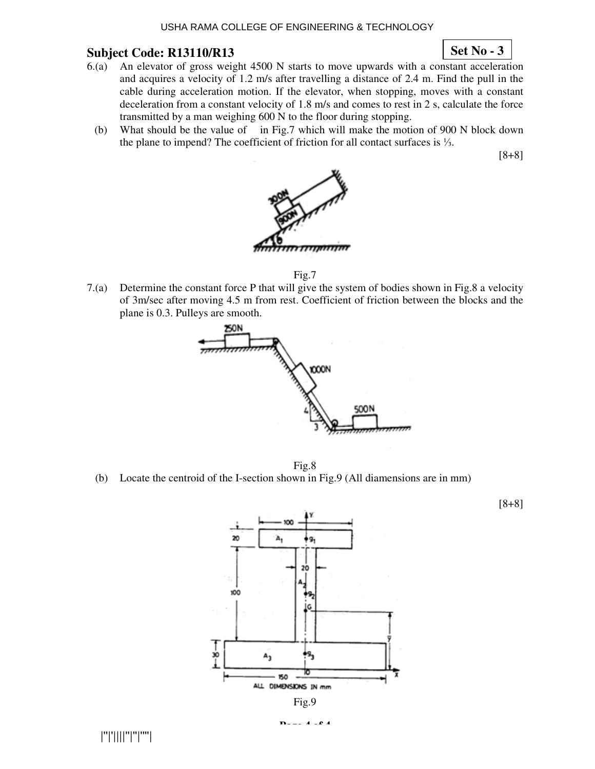#### USHA RAMA COLLEGE OF ENGINEERING & TECHNOLOGY

### **Subject Code: R13110/R13**

### **Set No - 3**

- 6.(a) An elevator of gross weight 4500 N starts to move upwards with a constant acceleration and acquires a velocity of 1.2 m/s after travelling a distance of 2.4 m. Find the pull in the cable during acceleration motion. If the elevator, when stopping, moves with a constant deceleration from a constant velocity of 1.8 m/s and comes to rest in 2 s, calculate the force transmitted by a man weighing 600 N to the floor during stopping.
	- (b) What should be the value of in Fig.7 which will make the motion of 900 N block down the plane to impend? The coefficient of friction for all contact surfaces is  $\frac{1}{3}$ .

[8+8]



Fig.7

7.(a) Determine the constant force P that will give the system of bodies shown in Fig.8 a velocity of 3m/sec after moving 4.5 m from rest. Coefficient of friction between the blocks and the plane is 0.3. Pulleys are smooth.



Fig.8

(b) Locate the centroid of the I-section shown in Fig.9 (All diamensions are in mm)



|''|'||||''|''|''''|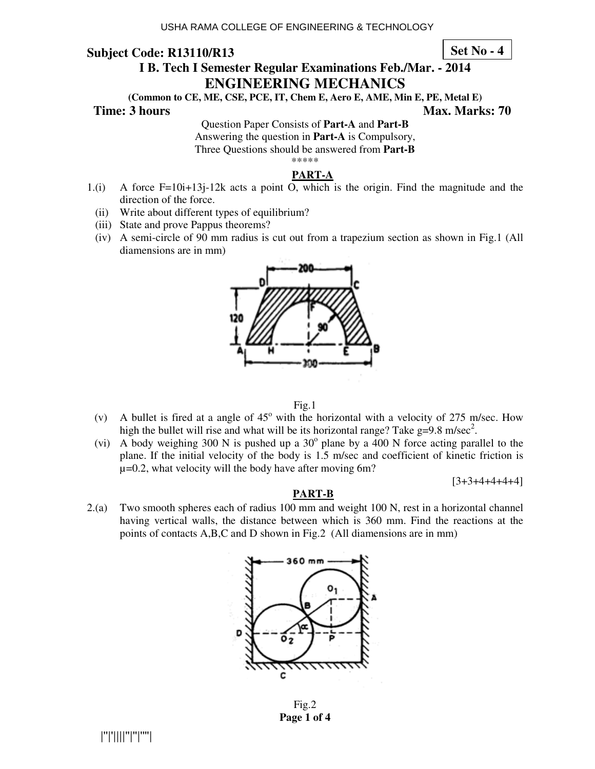**Set No - 4**

# **I B. Tech I Semester Regular Examinations Feb./Mar. - 2014 ENGINEERING MECHANICS**

**(Common to CE, ME, CSE, PCE, IT, Chem E, Aero E, AME, Min E, PE, Metal E)** 

**Time: 3 hours Max. Marks: 70 Max. Marks: 70** 

Question Paper Consists of **Part-A** and **Part-B**

Answering the question in **Part-A** is Compulsory,

Three Questions should be answered from **Part-B** \*\*\*\*\*

#### **PART-A**

- 1.(i) A force F=10i+13j-12k acts a point O, which is the origin. Find the magnitude and the direction of the force.
	- (ii) Write about different types of equilibrium?
	- (iii) State and prove Pappus theorems?
	- (iv) A semi-circle of 90 mm radius is cut out from a trapezium section as shown in Fig.1 (All diamensions are in mm)



Fig.1

- (v) A bullet is fired at a angle of  $45^{\circ}$  with the horizontal with a velocity of 275 m/sec. How high the bullet will rise and what will be its horizontal range? Take  $g=9.8$  m/sec<sup>2</sup>.
- (vi) A body weighing 300 N is pushed up a  $30^{\circ}$  plane by a 400 N force acting parallel to the plane. If the initial velocity of the body is 1.5 m/sec and coefficient of kinetic friction is  $\mu$ =0.2, what velocity will the body have after moving 6m?

 $[3+3+4+4+4+4]$ 

#### **PART-B**

2.(a) Two smooth spheres each of radius 100 mm and weight 100 N, rest in a horizontal channel having vertical walls, the distance between which is 360 mm. Find the reactions at the points of contacts A,B,C and D shown in Fig.2 (All diamensions are in mm)



Fig.2 **Page 1 of 4**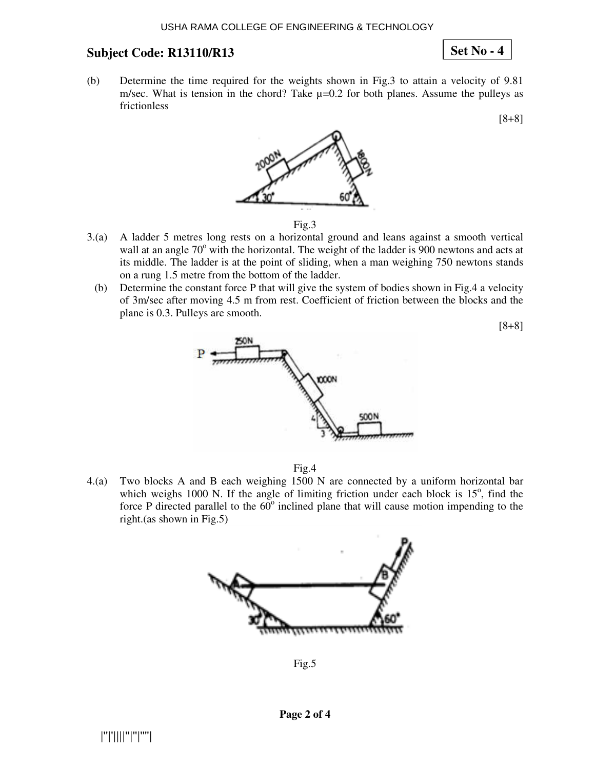# **Set No - 4**

(b) Determine the time required for the weights shown in Fig.3 to attain a velocity of 9.81 m/sec. What is tension in the chord? Take  $\mu$ =0.2 for both planes. Assume the pulleys as frictionless

[8+8]



- 3.(a) A ladder 5 metres long rests on a horizontal ground and leans against a smooth vertical wall at an angle 70° with the horizontal. The weight of the ladder is 900 newtons and acts at its middle. The ladder is at the point of sliding, when a man weighing 750 newtons stands on a rung 1.5 metre from the bottom of the ladder.
- (b) Determine the constant force P that will give the system of bodies shown in Fig.4 a velocity of 3m/sec after moving 4.5 m from rest. Coefficient of friction between the blocks and the plane is 0.3. Pulleys are smooth.

[8+8]



Fig.4

4.(a) Two blocks A and B each weighing 1500 N are connected by a uniform horizontal bar which weighs 1000 N. If the angle of limiting friction under each block is  $15^{\circ}$ , find the force P directed parallel to the  $60^\circ$  inclined plane that will cause motion impending to the right.(as shown in Fig.5)



Fig.5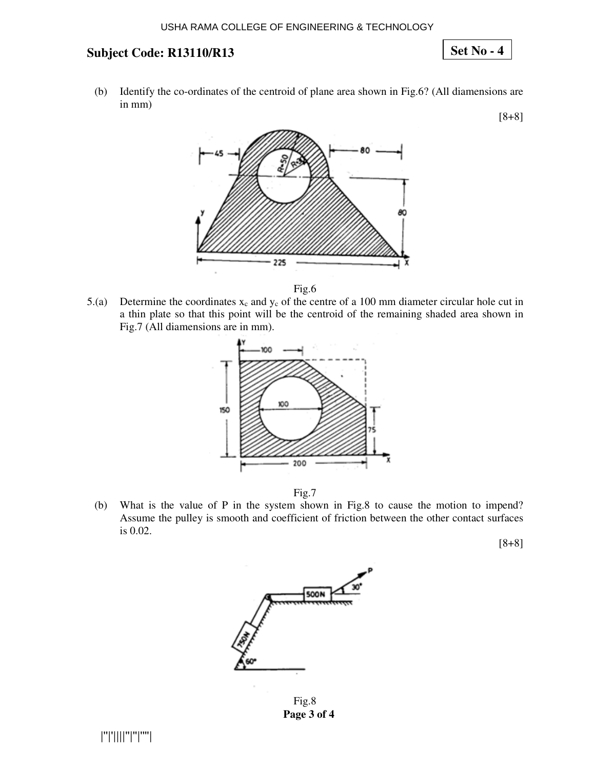**Set No - 4**

(b) Identify the co-ordinates of the centroid of plane area shown in Fig.6? (All diamensions are in mm)

[8+8]



Fig.6

5.(a) Determine the coordinates  $x_c$  and  $y_c$  of the centre of a 100 mm diameter circular hole cut in a thin plate so that this point will be the centroid of the remaining shaded area shown in Fig.7 (All diamensions are in mm).



Fig.7

(b) What is the value of P in the system shown in Fig.8 to cause the motion to impend? Assume the pulley is smooth and coefficient of friction between the other contact surfaces is 0.02.



Fig.8 **Page 3 of 4**